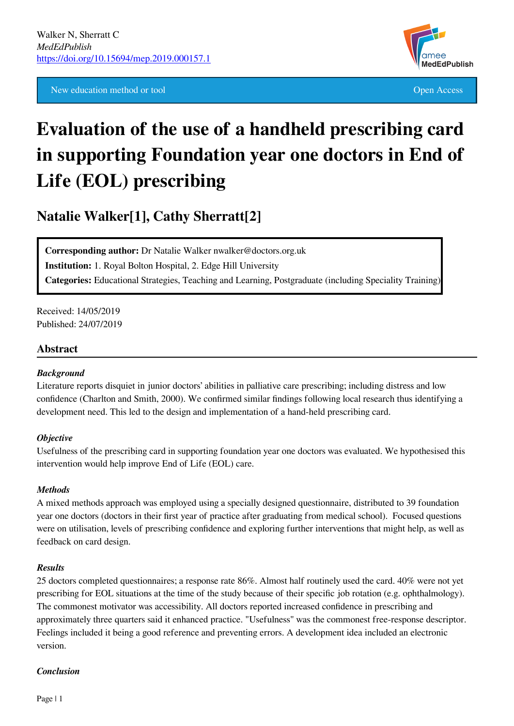New education method or tool **Open Access** 



# **Evaluation of the use of a handheld prescribing card in supporting Foundation year one doctors in End of Life (EOL) prescribing**

**Natalie Walker[1], Cathy Sherratt[2]**

**Corresponding author:** Dr Natalie Walker nwalker@doctors.org.uk **Institution:** 1. Royal Bolton Hospital, 2. Edge Hill University **Categories:** Educational Strategies, Teaching and Learning, Postgraduate (including Speciality Training)

Received: 14/05/2019 Published: 24/07/2019

## **Abstract**

#### *Background*

Literature reports disquiet in junior doctors' abilities in palliative care prescribing; including distress and low confidence (Charlton and Smith, 2000). We confirmed similar findings following local research thus identifying a development need. This led to the design and implementation of a hand-held prescribing card.

#### *Objective*

Usefulness of the prescribing card in supporting foundation year one doctors was evaluated. We hypothesised this intervention would help improve End of Life (EOL) care.

#### *Methods*

A mixed methods approach was employed using a specially designed questionnaire, distributed to 39 foundation year one doctors (doctors in their first year of practice after graduating from medical school). Focused questions were on utilisation, levels of prescribing confidence and exploring further interventions that might help, as well as feedback on card design.

#### *Results*

25 doctors completed questionnaires; a response rate 86%. Almost half routinely used the card. 40% were not yet prescribing for EOL situations at the time of the study because of their specific job rotation (e.g. ophthalmology). The commonest motivator was accessibility. All doctors reported increased confidence in prescribing and approximately three quarters said it enhanced practice. "Usefulness" was the commonest free-response descriptor. Feelings included it being a good reference and preventing errors. A development idea included an electronic version.

#### *Conclusion*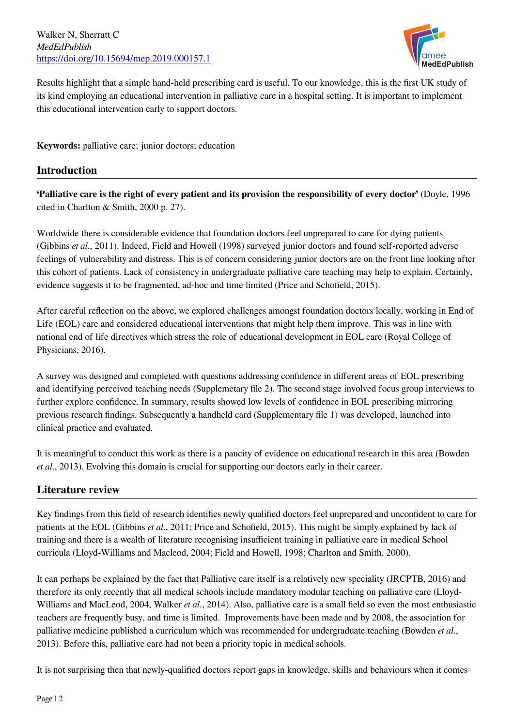Walker N, Sherratt C *MedEdPublish* <https://doi.org/10.15694/mep.2019.000157.1>



Results highlight that a simple hand-held prescribing card is useful. To our knowledge, this is the first UK study of its kind employing an educational intervention in palliative care in a hospital setting. It is important to implement this educational intervention early to support doctors.

**Keywords:** palliative care; junior doctors; education

# **Introduction**

**'Palliative care is the right of every patient and its provision the responsibility of every doctor'** (Doyle, 1996 cited in Charlton & Smith, 2000 p. 27).

Worldwide there is considerable evidence that foundation doctors feel unprepared to care for dying patients (Gibbins *et al*., 2011). Indeed, Field and Howell (1998) surveyed junior doctors and found self-reported adverse feelings of vulnerability and distress. This is of concern considering junior doctors are on the front line looking after this cohort of patients. Lack of consistency in undergraduate palliative care teaching may help to explain. Certainly, evidence suggests it to be fragmented, ad-hoc and time limited (Price and Schofield, 2015).

After careful reflection on the above, we explored challenges amongst foundation doctors locally, working in End of Life (EOL) care and considered educational interventions that might help them improve. This was in line with national end of life directives which stress the role of educational development in EOL care (Royal College of Physicians, 2016).

A survey was designed and completed with questions addressing confidence in different areas of EOL prescribing and identifying perceived teaching needs (Supplemetary file 2). The second stage involved focus group interviews to further explore confidence. In summary, results showed low levels of confidence in EOL prescribing mirroring previous research findings. Subsequently a handheld card (Supplementary file 1) was developed, launched into clinical practice and evaluated.

It is meaningful to conduct this work as there is a paucity of evidence on educational research in this area (Bowden *et al*., 2013). Evolving this domain is crucial for supporting our doctors early in their career.

# **Literature review**

Key findings from this field of research identifies newly qualified doctors feel unprepared and unconfident to care for patients at the EOL (Gibbins *et al*., 2011; Price and Schofield, 2015). This might be simply explained by lack of training and there is a wealth of literature recognising insufficient training in palliative care in medical School curricula (Lloyd-Williams and Macleod, 2004; Field and Howell, 1998; Charlton and Smith, 2000).

It can perhaps be explained by the fact that Palliative care itself is a relatively new speciality (JRCPTB, 2016) and therefore its only recently that all medical schools include mandatory modular teaching on palliative care (Lloyd-Williams and MacLeod, 2004, Walker *et al*., 2014). Also, palliative care is a small field so even the most enthusiastic teachers are frequently busy, and time is limited. Improvements have been made and by 2008, the association for palliative medicine published a curriculum which was recommended for undergraduate teaching (Bowden *et al*., 2013). Before this, palliative care had not been a priority topic in medical schools.

It is not surprising then that newly-qualified doctors report gaps in knowledge, skills and behaviours when it comes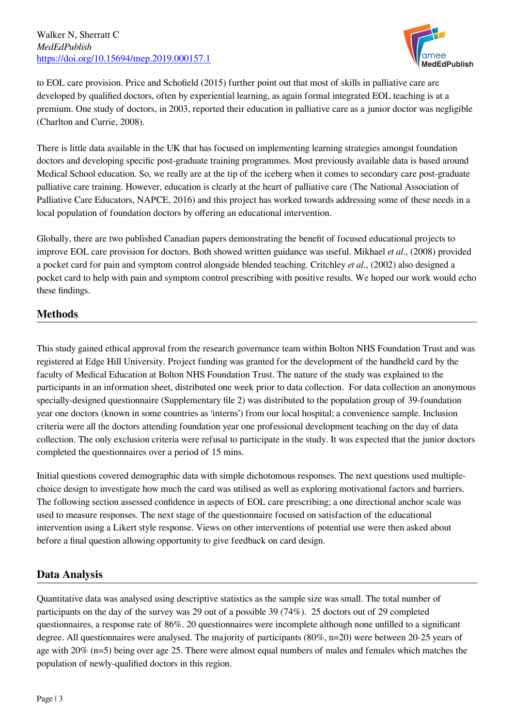

to EOL care provision. Price and Schofield (2015) further point out that most of skills in palliative care are developed by qualified doctors, often by experiential learning, as again formal integrated EOL teaching is at a premium. One study of doctors, in 2003, reported their education in palliative care as a junior doctor was negligible (Charlton and Currie, 2008).

There is little data available in the UK that has focused on implementing learning strategies amongst foundation doctors and developing specific post-graduate training programmes. Most previously available data is based around Medical School education. So, we really are at the tip of the iceberg when it comes to secondary care post-graduate palliative care training. However, education is clearly at the heart of palliative care (The National Association of Palliative Care Educators, NAPCE, 2016) and this project has worked towards addressing some of these needs in a local population of foundation doctors by offering an educational intervention.

Globally, there are two published Canadian papers demonstrating the benefit of focused educational projects to improve EOL care provision for doctors. Both showed written guidance was useful. Mikhael *et al*., (2008) provided a pocket card for pain and symptom control alongside blended teaching. Critchley *et al*., (2002) also designed a pocket card to help with pain and symptom control prescribing with positive results. We hoped our work would echo these findings.

# **Methods**

This study gained ethical approval from the research governance team within Bolton NHS Foundation Trust and was registered at Edge Hill University. Project funding was granted for the development of the handheld card by the faculty of Medical Education at Bolton NHS Foundation Trust. The nature of the study was explained to the participants in an information sheet, distributed one week prior to data collection. For data collection an anonymous specially-designed questionnaire (Supplementary file 2) was distributed to the population group of 39-foundation year one doctors (known in some countries as 'interns') from our local hospital; a convenience sample. Inclusion criteria were all the doctors attending foundation year one professional development teaching on the day of data collection. The only exclusion criteria were refusal to participate in the study. It was expected that the junior doctors completed the questionnaires over a period of 15 mins.

Initial questions covered demographic data with simple dichotomous responses. The next questions used multiplechoice design to investigate how much the card was utilised as well as exploring motivational factors and barriers. The following section assessed confidence in aspects of EOL care prescribing; a one directional anchor scale was used to measure responses. The next stage of the questionnaire focused on satisfaction of the educational intervention using a Likert style response. Views on other interventions of potential use were then asked about before a final question allowing opportunity to give feedback on card design.

# **Data Analysis**

Quantitative data was analysed using descriptive statistics as the sample size was small. The total number of participants on the day of the survey was 29 out of a possible 39 (74%). 25 doctors out of 29 completed questionnaires, a response rate of 86%. 20 questionnaires were incomplete although none unfilled to a significant degree. All questionnaires were analysed. The majority of participants (80%, n=20) were between 20-25 years of age with 20% (n=5) being over age 25. There were almost equal numbers of males and females which matches the population of newly-qualified doctors in this region.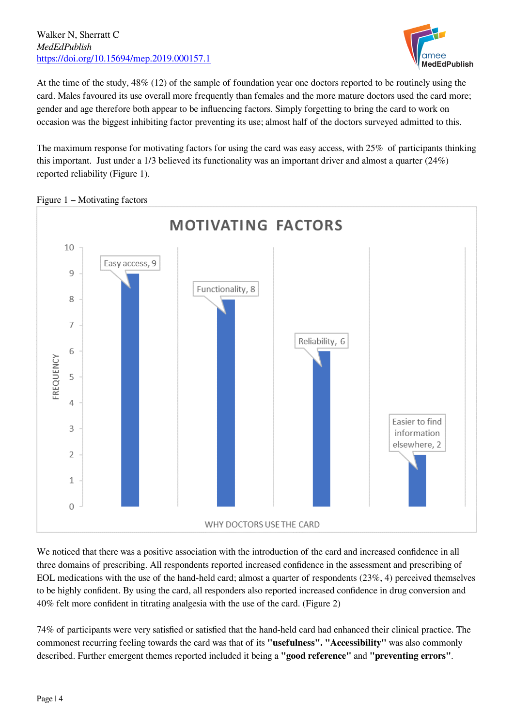#### Walker N, Sherratt C *MedEdPublish* <https://doi.org/10.15694/mep.2019.000157.1>



At the time of the study, 48% (12) of the sample of foundation year one doctors reported to be routinely using the card. Males favoured its use overall more frequently than females and the more mature doctors used the card more; gender and age therefore both appear to be influencing factors. Simply forgetting to bring the card to work on occasion was the biggest inhibiting factor preventing its use; almost half of the doctors surveyed admitted to this.

The maximum response for motivating factors for using the card was easy access, with 25% of participants thinking this important. Just under a 1/3 believed its functionality was an important driver and almost a quarter (24%) reported reliability (Figure 1).



Figure 1 – Motivating factors

We noticed that there was a positive association with the introduction of the card and increased confidence in all three domains of prescribing. All respondents reported increased confidence in the assessment and prescribing of EOL medications with the use of the hand-held card; almost a quarter of respondents (23%, 4) perceived themselves to be highly confident. By using the card, all responders also reported increased confidence in drug conversion and 40% felt more confident in titrating analgesia with the use of the card. (Figure 2)

74% of participants were very satisfied or satisfied that the hand-held card had enhanced their clinical practice. The commonest recurring feeling towards the card was that of its **"usefulness". "Accessibility"** was also commonly described. Further emergent themes reported included it being a **"good reference"** and **"preventing errors"**.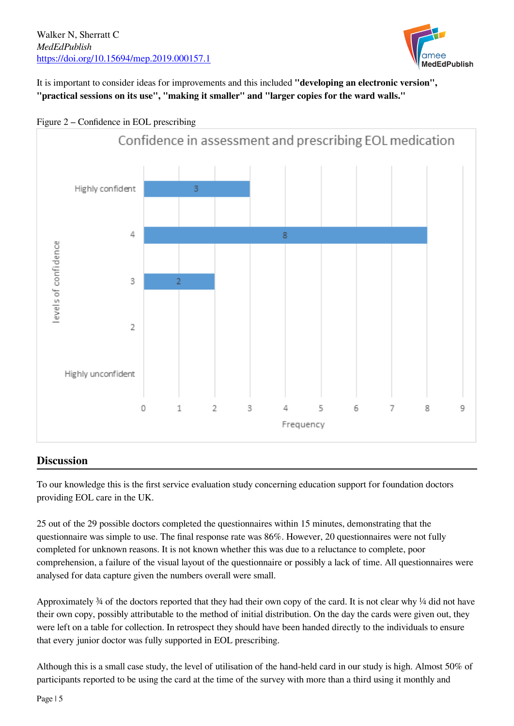

It is important to consider ideas for improvements and this included **"developing an electronic version", "practical sessions on its use", "making it smaller" and "larger copies for the ward walls."**



#### Figure 2 – Confidence in EOL prescribing

## **Discussion**

To our knowledge this is the first service evaluation study concerning education support for foundation doctors providing EOL care in the UK.

25 out of the 29 possible doctors completed the questionnaires within 15 minutes, demonstrating that the questionnaire was simple to use. The final response rate was 86%. However, 20 questionnaires were not fully completed for unknown reasons. It is not known whether this was due to a reluctance to complete, poor comprehension, a failure of the visual layout of the questionnaire or possibly a lack of time. All questionnaires were analysed for data capture given the numbers overall were small.

Approximately  $\frac{3}{4}$  of the doctors reported that they had their own copy of the card. It is not clear why  $\frac{1}{4}$  did not have their own copy, possibly attributable to the method of initial distribution. On the day the cards were given out, they were left on a table for collection. In retrospect they should have been handed directly to the individuals to ensure that every junior doctor was fully supported in EOL prescribing.

Although this is a small case study, the level of utilisation of the hand-held card in our study is high. Almost 50% of participants reported to be using the card at the time of the survey with more than a third using it monthly and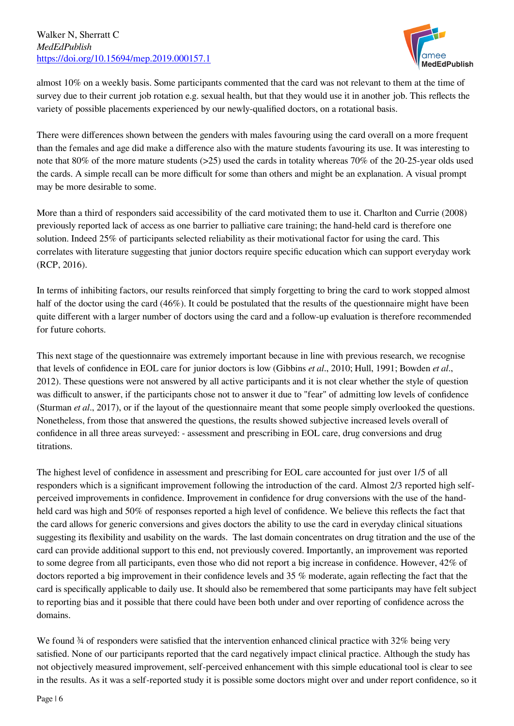

almost 10% on a weekly basis. Some participants commented that the card was not relevant to them at the time of survey due to their current job rotation e.g. sexual health, but that they would use it in another job. This reflects the variety of possible placements experienced by our newly-qualified doctors, on a rotational basis.

There were differences shown between the genders with males favouring using the card overall on a more frequent than the females and age did make a difference also with the mature students favouring its use. It was interesting to note that 80% of the more mature students (>25) used the cards in totality whereas 70% of the 20-25-year olds used the cards. A simple recall can be more difficult for some than others and might be an explanation. A visual prompt may be more desirable to some.

More than a third of responders said accessibility of the card motivated them to use it. Charlton and Currie (2008) previously reported lack of access as one barrier to palliative care training; the hand-held card is therefore one solution. Indeed 25% of participants selected reliability as their motivational factor for using the card. This correlates with literature suggesting that junior doctors require specific education which can support everyday work (RCP, 2016).

In terms of inhibiting factors, our results reinforced that simply forgetting to bring the card to work stopped almost half of the doctor using the card (46%). It could be postulated that the results of the questionnaire might have been quite different with a larger number of doctors using the card and a follow-up evaluation is therefore recommended for future cohorts.

This next stage of the questionnaire was extremely important because in line with previous research, we recognise that levels of confidence in EOL care for junior doctors is low (Gibbins *et al*., 2010; Hull, 1991; Bowden *et al*., 2012). These questions were not answered by all active participants and it is not clear whether the style of question was difficult to answer, if the participants chose not to answer it due to "fear" of admitting low levels of confidence (Sturman *et al*., 2017), or if the layout of the questionnaire meant that some people simply overlooked the questions. Nonetheless, from those that answered the questions, the results showed subjective increased levels overall of confidence in all three areas surveyed: - assessment and prescribing in EOL care, drug conversions and drug titrations.

The highest level of confidence in assessment and prescribing for EOL care accounted for just over 1/5 of all responders which is a significant improvement following the introduction of the card. Almost 2/3 reported high selfperceived improvements in confidence. Improvement in confidence for drug conversions with the use of the handheld card was high and 50% of responses reported a high level of confidence. We believe this reflects the fact that the card allows for generic conversions and gives doctors the ability to use the card in everyday clinical situations suggesting its flexibility and usability on the wards. The last domain concentrates on drug titration and the use of the card can provide additional support to this end, not previously covered. Importantly, an improvement was reported to some degree from all participants, even those who did not report a big increase in confidence. However, 42% of doctors reported a big improvement in their confidence levels and 35 % moderate, again reflecting the fact that the card is specifically applicable to daily use. It should also be remembered that some participants may have felt subject to reporting bias and it possible that there could have been both under and over reporting of confidence across the domains.

We found  $\frac{3}{4}$  of responders were satisfied that the intervention enhanced clinical practice with 32% being very satisfied. None of our participants reported that the card negatively impact clinical practice. Although the study has not objectively measured improvement, self-perceived enhancement with this simple educational tool is clear to see in the results. As it was a self-reported study it is possible some doctors might over and under report confidence, so it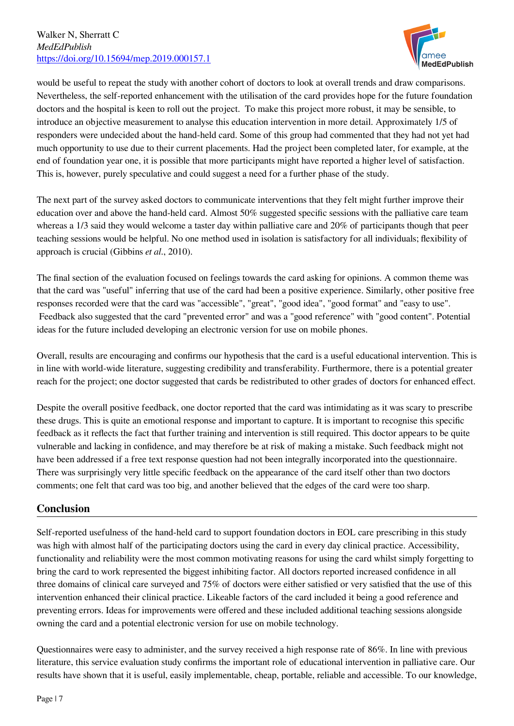

would be useful to repeat the study with another cohort of doctors to look at overall trends and draw comparisons. Nevertheless, the self-reported enhancement with the utilisation of the card provides hope for the future foundation doctors and the hospital is keen to roll out the project. To make this project more robust, it may be sensible, to introduce an objective measurement to analyse this education intervention in more detail. Approximately 1/5 of responders were undecided about the hand-held card. Some of this group had commented that they had not yet had much opportunity to use due to their current placements. Had the project been completed later, for example, at the end of foundation year one, it is possible that more participants might have reported a higher level of satisfaction. This is, however, purely speculative and could suggest a need for a further phase of the study.

The next part of the survey asked doctors to communicate interventions that they felt might further improve their education over and above the hand-held card. Almost 50% suggested specific sessions with the palliative care team whereas a 1/3 said they would welcome a taster day within palliative care and 20% of participants though that peer teaching sessions would be helpful. No one method used in isolation is satisfactory for all individuals; flexibility of approach is crucial (Gibbins *et al*., 2010).

The final section of the evaluation focused on feelings towards the card asking for opinions. A common theme was that the card was "useful" inferring that use of the card had been a positive experience. Similarly, other positive free responses recorded were that the card was "accessible", "great", "good idea", "good format" and "easy to use". Feedback also suggested that the card "prevented error" and was a "good reference" with "good content". Potential ideas for the future included developing an electronic version for use on mobile phones.

Overall, results are encouraging and confirms our hypothesis that the card is a useful educational intervention. This is in line with world-wide literature, suggesting credibility and transferability. Furthermore, there is a potential greater reach for the project; one doctor suggested that cards be redistributed to other grades of doctors for enhanced effect.

Despite the overall positive feedback, one doctor reported that the card was intimidating as it was scary to prescribe these drugs. This is quite an emotional response and important to capture. It is important to recognise this specific feedback as it reflects the fact that further training and intervention is still required. This doctor appears to be quite vulnerable and lacking in confidence, and may therefore be at risk of making a mistake. Such feedback might not have been addressed if a free text response question had not been integrally incorporated into the questionnaire. There was surprisingly very little specific feedback on the appearance of the card itself other than two doctors comments; one felt that card was too big, and another believed that the edges of the card were too sharp.

# **Conclusion**

Self-reported usefulness of the hand-held card to support foundation doctors in EOL care prescribing in this study was high with almost half of the participating doctors using the card in every day clinical practice. Accessibility, functionality and reliability were the most common motivating reasons for using the card whilst simply forgetting to bring the card to work represented the biggest inhibiting factor. All doctors reported increased confidence in all three domains of clinical care surveyed and 75% of doctors were either satisfied or very satisfied that the use of this intervention enhanced their clinical practice. Likeable factors of the card included it being a good reference and preventing errors. Ideas for improvements were offered and these included additional teaching sessions alongside owning the card and a potential electronic version for use on mobile technology.

Questionnaires were easy to administer, and the survey received a high response rate of 86%. In line with previous literature, this service evaluation study confirms the important role of educational intervention in palliative care. Our results have shown that it is useful, easily implementable, cheap, portable, reliable and accessible. To our knowledge,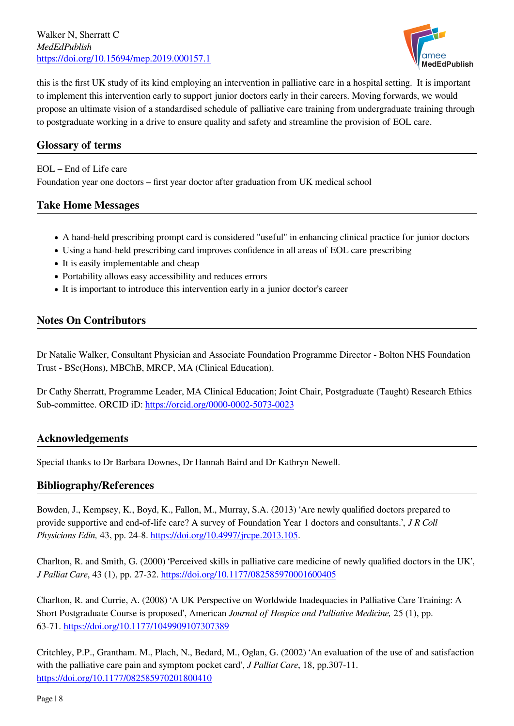Walker N, Sherratt C *MedEdPublish* <https://doi.org/10.15694/mep.2019.000157.1>



this is the first UK study of its kind employing an intervention in palliative care in a hospital setting. It is important to implement this intervention early to support junior doctors early in their careers. Moving forwards, we would propose an ultimate vision of a standardised schedule of palliative care training from undergraduate training through to postgraduate working in a drive to ensure quality and safety and streamline the provision of EOL care.

# **Glossary of terms**

EOL – End of Life care

Foundation year one doctors – first year doctor after graduation from UK medical school

# **Take Home Messages**

- A hand-held prescribing prompt card is considered "useful" in enhancing clinical practice for junior doctors
- Using a hand-held prescribing card improves confidence in all areas of EOL care prescribing
- It is easily implementable and cheap
- Portability allows easy accessibility and reduces errors
- It is important to introduce this intervention early in a junior doctor's career

## **Notes On Contributors**

Dr Natalie Walker, Consultant Physician and Associate Foundation Programme Director - Bolton NHS Foundation Trust - BSc(Hons), MBChB, MRCP, MA (Clinical Education).

Dr Cathy Sherratt, Programme Leader, MA Clinical Education; Joint Chair, Postgraduate (Taught) Research Ethics Sub-committee. ORCID iD:<https://orcid.org/0000-0002-5073-0023>

## **Acknowledgements**

Special thanks to Dr Barbara Downes, Dr Hannah Baird and Dr Kathryn Newell.

#### **Bibliography/References**

Bowden, J., Kempsey, K., Boyd, K., Fallon, M., Murray, S.A. (2013) 'Are newly qualified doctors prepared to provide supportive and end-of-life care? A survey of Foundation Year 1 doctors and consultants.', *J R Coll Physicians Edin,* 43, pp. 24-8. <https://doi.org/10.4997/jrcpe.2013.105>.

Charlton, R. and Smith, G. (2000) 'Perceived skills in palliative care medicine of newly qualified doctors in the UK', *J Palliat Care*, 43 (1), pp. 27-32. <https://doi.org/10.1177/082585970001600405>

Charlton, R. and Currie, A. (2008) 'A UK Perspective on Worldwide Inadequacies in Palliative Care Training: A Short Postgraduate Course is proposed', American *Journal of Hospice and Palliative Medicine,* 25 (1), pp. 63-71. <https://doi.org/10.1177/1049909107307389>

Critchley, P.P., Grantham. M., Plach, N., Bedard, M., Oglan, G. (2002) 'An evaluation of the use of and satisfaction with the palliative care pain and symptom pocket card', *J Palliat Care*, 18, pp.307-11. <https://doi.org/10.1177/082585970201800410>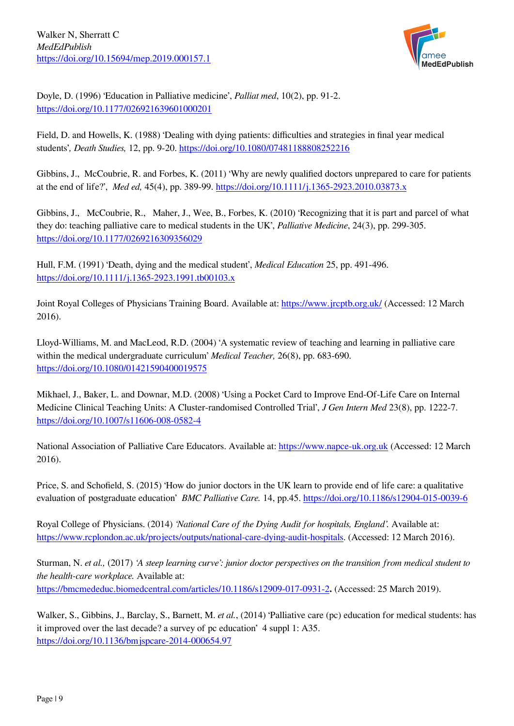

Doyle, D. (1996) 'Education in Palliative medicine', *Palliat med*, 10(2), pp. 91-2. <https://doi.org/10.1177/026921639601000201>

Field, D. and Howells, K. (1988) 'Dealing with dying patients: difficulties and strategies in final year medical students'*, Death Studies,* 12, pp. 9-20. <https://doi.org/10.1080/07481188808252216>

Gibbins, J., McCoubrie, R. and Forbes, K. (2011) 'Why are newly qualified doctors unprepared to care for patients at the end of life?', *Med ed,* 45(4), pp. 389-99.<https://doi.org/10.1111/j.1365-2923.2010.03873.x>

Gibbins, J., McCoubrie, R., Maher, J., Wee, B., Forbes, K. (2010) 'Recognizing that it is part and parcel of what they do: teaching palliative care to medical students in the UK', *Palliative Medicine*, 24(3), pp. 299-305. <https://doi.org/10.1177/0269216309356029>

Hull, F.M. (1991) 'Death, dying and the medical student', *Medical Education* 25, pp. 491-496. <https://doi.org/10.1111/j.1365-2923.1991.tb00103.x>

Joint Royal Colleges of Physicians Training Board. Available at: <https://www.jrcptb.org.uk/> (Accessed: 12 March 2016).

Lloyd-Williams, M. and MacLeod, R.D. (2004) 'A systematic review of teaching and learning in palliative care within the medical undergraduate curriculum' *Medical Teacher,* 26(8), pp. 683-690. <https://doi.org/10.1080/01421590400019575>

Mikhael, J., Baker, L. and Downar, M.D. (2008) 'Using a Pocket Card to Improve End-Of-Life Care on Internal Medicine Clinical Teaching Units: A Cluster-randomised Controlled Trial', *J Gen Intern Med* 23(8), pp. 1222-7. <https://doi.org/10.1007/s11606-008-0582-4>

National Association of Palliative Care Educators. Available at: <https://www.napce-uk.org.uk> (Accessed: 12 March 2016).

Price, S. and Schofield, S. (2015) 'How do junior doctors in the UK learn to provide end of life care: a qualitative evaluation of postgraduate education' *BMC Palliative Care.* 14, pp.45.<https://doi.org/10.1186/s12904-015-0039-6>

Royal College of Physicians. (2014) *'National Care of the Dying Audit for hospitals, England'.* Available at: [https://www.rcplondon.ac.uk/projects/outputs/national-care-dying-audit-hospitals.](https://www.rcplondon.ac.uk/projects/outputs/national-care-dying-audit-hospitals) (Accessed: 12 March 2016).

Sturman, N. *et al.,* (2017) *'A steep learning curve': junior doctor perspectives on the transition from medical student to the health-care workplace.* Available at: <https://bmcmededuc.biomedcentral.com/articles/10.1186/s12909-017-0931-2>**.** (Accessed: 25 March 2019).

Walker, S., Gibbins, J., Barclay, S., Barnett, M. *et al.*, (2014) 'Palliative care (pc) education for medical students: has it improved over the last decade? a survey of pc education' 4 suppl 1: A35. <https://doi.org/10.1136/bmjspcare-2014-000654.97>